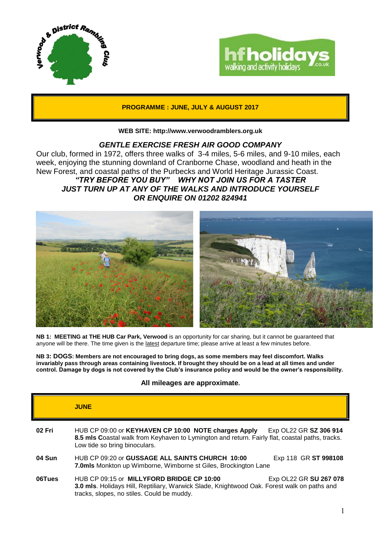



**PROGRAMME : JUNE, JULY & AUGUST 2017**

### **WEB SITE: http://www.verwoodramblers.org.uk**

## *GENTLE EXERCISE FRESH AIR GOOD COMPANY*

Our club, formed in 1972, offers three walks of 3-4 miles, 5-6 miles, and 9-10 miles, each week, enjoying the stunning downland of Cranborne Chase, woodland and heath in the New Forest, and coastal paths of the Purbecks and World Heritage Jurassic Coast. *"TRY BEFORE YOU BUY" WHY NOT JOIN US FOR A TASTER JUST TURN UP AT ANY OF THE WALKS AND INTRODUCE YOURSELF OR ENQUIRE ON 01202 824941*



**NB 1: MEETING at THE HUB Car Park, Verwood** is an opportunity for car sharing, but it cannot be guaranteed that anyone will be there. The time given is the latest departure time; please arrive at least a few minutes before.

**NB 3: DOGS: Members are not encouraged to bring dogs, as some members may feel discomfort. Walks invariably pass through areas containing livestock. If brought they should be on a lead at all times and under control. Damage by dogs is not covered by the Club's insurance policy and would be the owner's responsibility.**

### **All mileages are approximate.**

|        | <b>JUNE</b>                                                                                                                                                                              |                        |
|--------|------------------------------------------------------------------------------------------------------------------------------------------------------------------------------------------|------------------------|
| 02 Fri | HUB CP 09:00 or KEYHAVEN CP 10:00 NOTE charges Apply<br>8.5 mls Coastal walk from Keyhaven to Lymington and return. Fairly flat, coastal paths, tracks.<br>Low tide so bring binoculars. | Exp OL22 GR SZ 306 914 |
| 04 Sun | HUB CP 09:20 or GUSSAGE ALL SAINTS CHURCH 10:00<br>7.0mls Monkton up Wimborne, Wimborne st Giles, Brockington Lane                                                                       | Exp 118 GR ST 998108   |
| 06Tues | HUB CP 09:15 or MILLYFORD BRIDGE CP 10:00<br>3.0 mls. Holidays Hill, Reptiliary, Warwick Slade, Knightwood Oak. Forest walk on paths and<br>tracks, slopes, no stiles. Could be muddy.   | Exp OL22 GR SU 267 078 |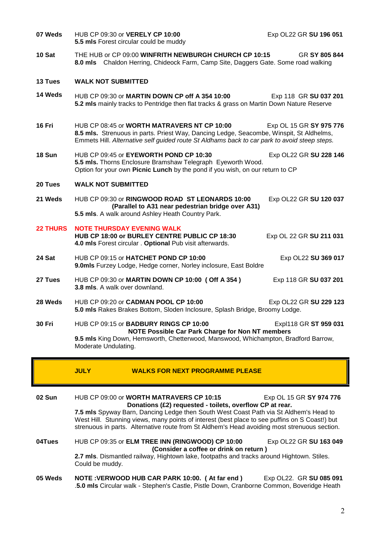| <b>O5 Wade</b>  | NOTE VERWOOD HUR CAR PARK 10:00 (At far and ) $\overline{P}$ Fyn OL 22 GR SLL085.091                                                                                                                                                                                                                                                                                                            |                         |  |
|-----------------|-------------------------------------------------------------------------------------------------------------------------------------------------------------------------------------------------------------------------------------------------------------------------------------------------------------------------------------------------------------------------------------------------|-------------------------|--|
| 04Tues          | HUB CP 09:35 or ELM TREE INN (RINGWOOD) CP 10:00<br>Exp OL22 GR SU 163 049<br>(Consider a coffee or drink on return)<br>2.7 mls. Dismantled railway, Hightown lake, footpaths and tracks around Hightown. Stiles.<br>Could be muddy.                                                                                                                                                            |                         |  |
| 02 Sun          | HUB CP 09:00 or WORTH MATRAVERS CP 10:15<br>Donations (£2) requested - toilets, overflow CP at rear.<br>7.5 mls Spyway Barn, Dancing Ledge then South West Coast Path via St Aldhem's Head to<br>West Hill. Stunning views, many points of interest (best place to see puffins on S Coast!) but<br>strenuous in parts. Alternative route from St Aldhem's Head avoiding most strenuous section. | Exp OL 15 GR SY 974 776 |  |
|                 | <b>JULY</b><br><b>WALKS FOR NEXT PROGRAMME PLEASE</b>                                                                                                                                                                                                                                                                                                                                           |                         |  |
|                 | NOTE Possible Car Park Charge for Non NT members<br>9.5 mls King Down, Hemsworth, Chetterwood, Manswood, Whichampton, Bradford Barrow,<br>Moderate Undulating.                                                                                                                                                                                                                                  |                         |  |
| <b>30 Fri</b>   | HUB CP 09:15 or BADBURY RINGS CP 10:00                                                                                                                                                                                                                                                                                                                                                          | Expl118 GR ST 959 031   |  |
| 28 Weds         | HUB CP 09:20 or CADMAN POOL CP 10:00<br>Exp OL22 GR SU 229 123<br>5.0 mls Rakes Brakes Bottom, Sloden Inclosure, Splash Bridge, Broomy Lodge.                                                                                                                                                                                                                                                   |                         |  |
| 27 Tues         | HUB CP 09:30 or MARTIN DOWN CP 10:00 (Off A 354)<br>3.8 mls. A walk over downland.                                                                                                                                                                                                                                                                                                              | Exp 118 GR SU 037 201   |  |
| 24 Sat          | HUB CP 09:15 or HATCHET POND CP 10:00<br>9.0mls Furzey Lodge, Hedge corner, Norley inclosure, East Boldre                                                                                                                                                                                                                                                                                       | Exp OL22 SU 369 017     |  |
| <b>22 THURS</b> | <b>NOTE THURSDAY EVENING WALK</b><br>HUB CP 18:00 or BURLEY CENTRE PUBLIC CP 18:30<br>4.0 mls Forest circular . Optional Pub visit afterwards.                                                                                                                                                                                                                                                  | Exp OL 22 GR SU 211 031 |  |
| 21 Weds         | HUB CP 09:30 or RINGWOOD ROAD ST LEONARDS 10:00<br>(Parallel to A31 near pedestrian bridge over A31)<br>5.5 mls. A walk around Ashley Heath Country Park.                                                                                                                                                                                                                                       | Exp OL22 GR SU 120 037  |  |
| 20 Tues         | <b>WALK NOT SUBMITTED</b>                                                                                                                                                                                                                                                                                                                                                                       |                         |  |
|                 | Option for your own Picnic Lunch by the pond if you wish, on our return to CP                                                                                                                                                                                                                                                                                                                   |                         |  |
| 18 Sun          | HUB CP 09:45 or EYEWORTH POND CP 10:30<br>5.5 mls. Thorns Enclosure Bramshaw Telegraph Eyeworth Wood.                                                                                                                                                                                                                                                                                           | Exp OL22 GR SU 228 146  |  |
| 16 Fri          | HUB CP 08:45 or WORTH MATRAVERS NT CP 10:00<br>8.5 mls. Strenuous in parts. Priest Way, Dancing Ledge, Seacombe, Winspit, St Aldhelms,<br>Emmets Hill. Alternative self guided route St Aldhams back to car park to avoid steep steps.                                                                                                                                                          | Exp OL 15 GR SY 975 776 |  |
| 14 Weds         | HUB CP 09:30 or MARTIN DOWN CP off A 354 10:00<br>5.2 mls mainly tracks to Pentridge then flat tracks & grass on Martin Down Nature Reserve                                                                                                                                                                                                                                                     | Exp 118 GR SU 037 201   |  |
| 13 Tues         | <b>WALK NOT SUBMITTED</b>                                                                                                                                                                                                                                                                                                                                                                       |                         |  |
| 10 Sat          | THE HUB or CP 09:00 WINFRITH NEWBURGH CHURCH CP 10:15<br>8.0 mls Chaldon Herring, Chideock Farm, Camp Site, Daggers Gate. Some road walking                                                                                                                                                                                                                                                     | GR SY 805 844           |  |
| 07 Weds         | HUB CP 09:30 or VERELY CP 10:00<br>5.5 mls Forest circular could be muddy                                                                                                                                                                                                                                                                                                                       | Exp OL22 GR SU 196 051  |  |

**05 Weds NOTE :VERWOOD HUB CAR PARK 10:00. (At far end) Exp OL22. GR SU 085 091** .**5.0 mls** Circular walk - Stephen's Castle, Pistle Down, Cranborne Common, Boveridge Heath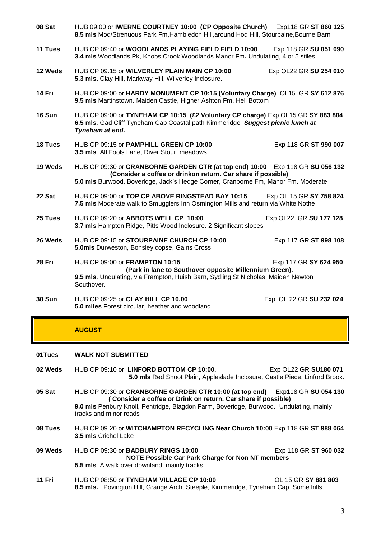| 08 Sat        | HUB 09:00 or IWERNE COURTNEY 10:00 (CP Opposite Church) Exp118 GR ST 860 125<br>8.5 mls Mod/Strenuous Park Fm, Hambledon Hill, around Hod Hill, Stourpaine, Bourne Barn                                                            |                         |  |
|---------------|------------------------------------------------------------------------------------------------------------------------------------------------------------------------------------------------------------------------------------|-------------------------|--|
| 11 Tues       | HUB CP 09:40 or WOODLANDS PLAYING FIELD FIELD 10:00<br>3.4 mls Woodlands Pk, Knobs Crook Woodlands Manor Fm. Undulating, 4 or 5 stiles.                                                                                            | Exp 118 GR SU 051 090   |  |
| 12 Weds       | HUB CP 09.15 or WILVERLEY PLAIN MAIN CP 10:00<br>5.3 mls. Clay Hill, Markway Hill, Wilverley Inclosure.                                                                                                                            | Exp OL22 GR SU 254 010  |  |
| 14 Fri        | HUB CP 09:00 or HARDY MONUMENT CP 10:15 (Voluntary Charge) OL15 GR SY 612 876<br>9.5 mls Martinstown. Maiden Castle, Higher Ashton Fm. Hell Bottom                                                                                 |                         |  |
| 16 Sun        | HUB CP 09:00 or TYNEHAM CP 10:15 (£2 Voluntary CP charge) Exp OL15 GR SY 883 804<br>6.5 mls. Gad Cliff Tyneham Cap Coastal path Kimmeridge Suggest picnic lunch at<br>Tyneham at end.                                              |                         |  |
| 18 Tues       | HUB CP 09:15 or PAMPHILL GREEN CP 10:00<br>3.5 mls. All Fools Lane, River Stour, meadows.                                                                                                                                          | Exp 118 GR ST 990 007   |  |
| 19 Weds       | HUB CP 09:30 or CRANBORNE GARDEN CTR (at top end) 10:00 Exp 118 GR SU 056 132<br>(Consider a coffee or drinkon return. Car share if possible)<br>5.0 mls Burwood, Boveridge, Jack's Hedge Corner, Cranborne Fm, Manor Fm. Moderate |                         |  |
| 22 Sat        | HUB CP 09:00 or TOP CP ABOVE RINGSTEAD BAY 10:15<br>7.5 mls Moderate walk to Smugglers Inn Osmington Mills and return via White Nothe                                                                                              | Exp OL 15 GR SY 758 824 |  |
| 25 Tues       | HUB CP 09:20 or ABBOTS WELL CP 10:00<br>3.7 mls Hampton Ridge, Pitts Wood Inclosure. 2 Significant slopes                                                                                                                          | Exp OL22 GR SU 177 128  |  |
| 26 Weds       | HUB CP 09:15 or STOURPAINE CHURCH CP 10:00<br>5.0mls Durweston, Bonsley copse, Gains Cross                                                                                                                                         | Exp 117 GR ST 998 108   |  |
| 28 Fri        | HUB CP 09:00 or FRAMPTON 10:15<br>Exp 117 GR SY 624 950<br>(Park in lane to Southover opposite Millennium Green).<br>9.5 mls. Undulating, via Frampton, Huish Barn, Sydling St Nicholas, Maiden Newton<br>Southover.               |                         |  |
| <b>30 Sun</b> | HUB CP 09:25 or CLAY HILL CP 10.00<br>5.0 miles Forest circular, heather and woodland                                                                                                                                              | Exp OL 22 GR SU 232 024 |  |

### **AUGUST**

#### **01Tues WALK NOT SUBMITTED**

- **02 Weds** HUB CP 09:10 or **LINFORD BOTTOM CP 10:00.** Exp OL22 GR **SU180 071 5.0 mls** Red Shoot Plain, Appleslade Inclosure, Castle Piece, Linford Brook.
- **05 Sat** HUB CP 09:30 or **CRANBORNE GARDEN CTR 10:00 (at top end)** Exp118 GR **SU 054 130 ( Consider a coffee or Drink on return. Car share if possible) 9.0 mls** Penbury Knoll, Pentridge, Blagdon Farm, Boveridge, Burwood. Undulating, mainly tracks and minor roads
- **08 Tues** HUB CP 09.20 or **WITCHAMPTON RECYCLING Near Church 10:00** Exp 118 GR **ST 988 064 3.5 mls** Crichel Lake
- **09 Weds** HUB CP 09:30 or **BADBURY RINGS 10:00** Exp 118 GR **ST 960 032 NOTE Possible Car Park Charge for Non NT members 5.5 mls**. A walk over downland, mainly tracks.
- **11 Fri** HUB CP 08:50 or **TYNEHAM VILLAGE CP 10:00** OL 15 GR **SY 881 803 8.5 mls.** Povington Hill, Grange Arch, Steeple, Kimmeridge, Tyneham Cap. Some hills.